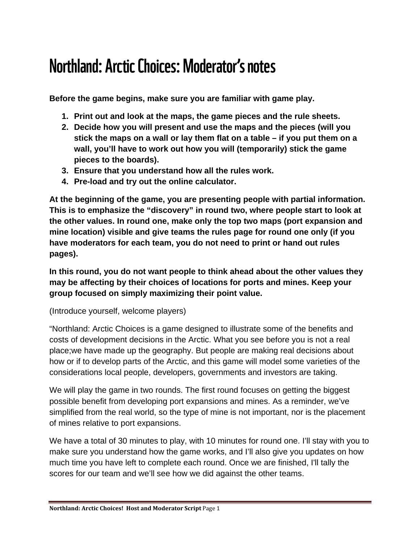# Northland: Arctic Choices: Moderator's notes

**Before the game begins, make sure you are familiar with game play.** 

- **1. Print out and look at the maps, the game pieces and the rule sheets.**
- **2. Decide how you will present and use the maps and the pieces (will you stick the maps on a wall or lay them flat on a table – if you put them on a wall, you'll have to work out how you will (temporarily) stick the game pieces to the boards).**
- **3. Ensure that you understand how all the rules work.**
- **4. Pre-load and try out the online calculator.**

**At the beginning of the game, you are presenting people with partial information. This is to emphasize the "discovery" in round two, where people start to look at the other values. In round one, make only the top two maps (port expansion and mine location) visible and give teams the rules page for round one only (if you have moderators for each team, you do not need to print or hand out rules pages).**

**In this round, you do not want people to think ahead about the other values they may be affecting by their choices of locations for ports and mines. Keep your group focused on simply maximizing their point value.**

(Introduce yourself, welcome players)

"Northland: Arctic Choices is a game designed to illustrate some of the benefits and costs of development decisions in the Arctic. What you see before you is not a real place;we have made up the geography. But people are making real decisions about how or if to develop parts of the Arctic, and this game will model some varieties of the considerations local people, developers, governments and investors are taking.

We will play the game in two rounds. The first round focuses on getting the biggest possible benefit from developing port expansions and mines. As a reminder, we've simplified from the real world, so the type of mine is not important, nor is the placement of mines relative to port expansions.

We have a total of 30 minutes to play, with 10 minutes for round one. I'll stay with you to make sure you understand how the game works, and I'll also give you updates on how much time you have left to complete each round. Once we are finished, I'll tally the scores for our team and we'll see how we did against the other teams.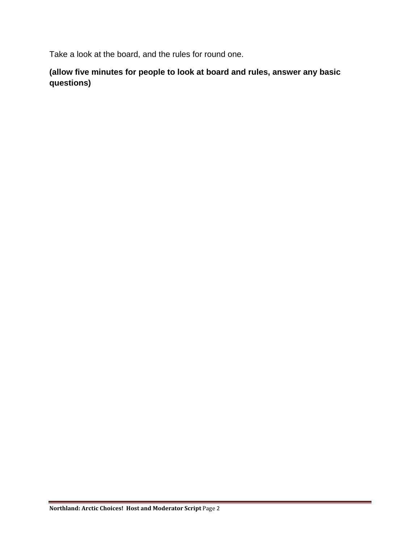Take a look at the board, and the rules for round one.

**(allow five minutes for people to look at board and rules, answer any basic questions)**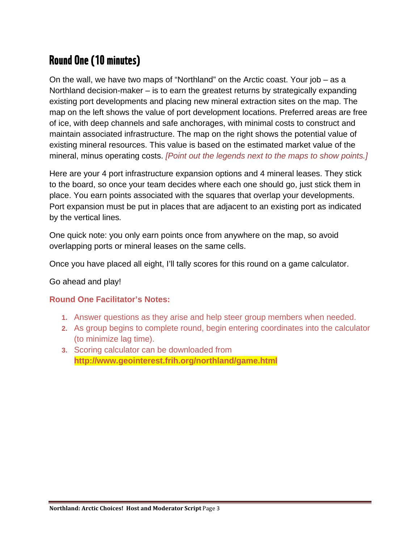# Round One (10 minutes)

On the wall, we have two maps of "Northland" on the Arctic coast. Your job – as a Northland decision-maker – is to earn the greatest returns by strategically expanding existing port developments and placing new mineral extraction sites on the map. The map on the left shows the value of port development locations. Preferred areas are free of ice, with deep channels and safe anchorages, with minimal costs to construct and maintain associated infrastructure. The map on the right shows the potential value of existing mineral resources. This value is based on the estimated market value of the mineral, minus operating costs. *[Point out the legends next to the maps to show points.]*

Here are your 4 port infrastructure expansion options and 4 mineral leases. They stick to the board, so once your team decides where each one should go, just stick them in place. You earn points associated with the squares that overlap your developments. Port expansion must be put in places that are adjacent to an existing port as indicated by the vertical lines*.*

One quick note: you only earn points once from anywhere on the map, so avoid overlapping ports or mineral leases on the same cells.

Once you have placed all eight, I'll tally scores for this round on a game calculator.

#### Go ahead and play!

#### **Round One Facilitator's Notes:**

- **1.** Answer questions as they arise and help steer group members when needed.
- **2.** As group begins to complete round, begin entering coordinates into the calculator (to minimize lag time).
- **3.** Scoring calculator can be downloaded from **http://www.geointerest.frih.org/northland/game.html**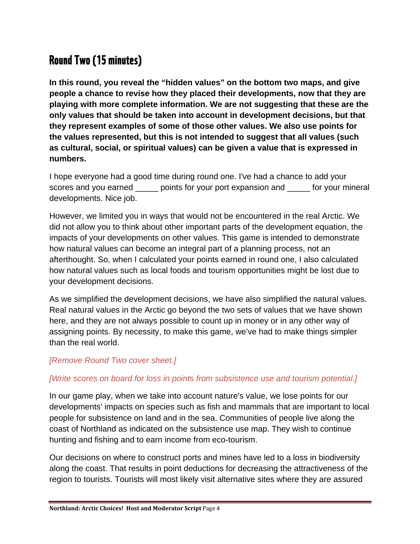## Round Two (15 minutes)

**In this round, you reveal the "hidden values" on the bottom two maps, and give people a chance to revise how they placed their developments, now that they are playing with more complete information. We are not suggesting that these are the only values that should be taken into account in development decisions, but that they represent examples of some of those other values. We also use points for the values represented, but this is not intended to suggest that all values (such as cultural, social, or spiritual values) can be given a value that is expressed in numbers.**

I hope everyone had a good time during round one. I've had a chance to add your scores and you earned \_\_\_\_\_ points for your port expansion and \_\_\_\_\_ for your mineral developments. Nice job.

However, we limited you in ways that would not be encountered in the real Arctic. We did not allow you to think about other important parts of the development equation, the impacts of your developments on other values. This game is intended to demonstrate how natural values can become an integral part of a planning process, not an afterthought. So, when I calculated your points earned in round one, I also calculated how natural values such as local foods and tourism opportunities might be lost due to your development decisions.

As we simplified the development decisions, we have also simplified the natural values. Real natural values in the Arctic go beyond the two sets of values that we have shown here, and they are not always possible to count up in money or in any other way of assigning points. By necessity, to make this game, we've had to make things simpler than the real world.

### *[Remove Round Two cover sheet.]*

#### *[Write scores on board for loss in points from subsistence use and tourism potential.]*

In our game play, when we take into account nature's value, we lose points for our developments' impacts on species such as fish and mammals that are important to local people for subsistence on land and in the sea. Communities of people live along the coast of Northland as indicated on the subsistence use map. They wish to continue hunting and fishing and to earn income from eco-tourism.

Our decisions on where to construct ports and mines have led to a loss in biodiversity along the coast. That results in point deductions for decreasing the attractiveness of the region to tourists. Tourists will most likely visit alternative sites where they are assured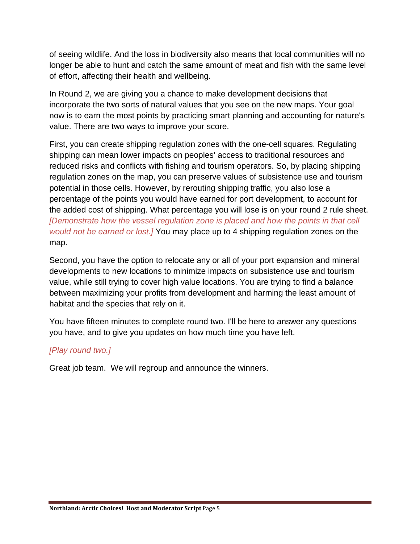of seeing wildlife. And the loss in biodiversity also means that local communities will no longer be able to hunt and catch the same amount of meat and fish with the same level of effort, affecting their health and wellbeing.

In Round 2, we are giving you a chance to make development decisions that incorporate the two sorts of natural values that you see on the new maps. Your goal now is to earn the most points by practicing smart planning and accounting for nature's value. There are two ways to improve your score.

First, you can create shipping regulation zones with the one-cell squares. Regulating shipping can mean lower impacts on peoples' access to traditional resources and reduced risks and conflicts with fishing and tourism operators. So, by placing shipping regulation zones on the map, you can preserve values of subsistence use and tourism potential in those cells. However, by rerouting shipping traffic, you also lose a percentage of the points you would have earned for port development, to account for the added cost of shipping. What percentage you will lose is on your round 2 rule sheet. *[Demonstrate how the vessel regulation zone is placed and how the points in that cell would not be earned or lost.]* You may place up to 4 shipping regulation zones on the map.

Second, you have the option to relocate any or all of your port expansion and mineral developments to new locations to minimize impacts on subsistence use and tourism value, while still trying to cover high value locations. You are trying to find a balance between maximizing your profits from development and harming the least amount of habitat and the species that rely on it.

You have fifteen minutes to complete round two. I'll be here to answer any questions you have, and to give you updates on how much time you have left.

### *[Play round two.]*

Great job team. We will regroup and announce the winners.